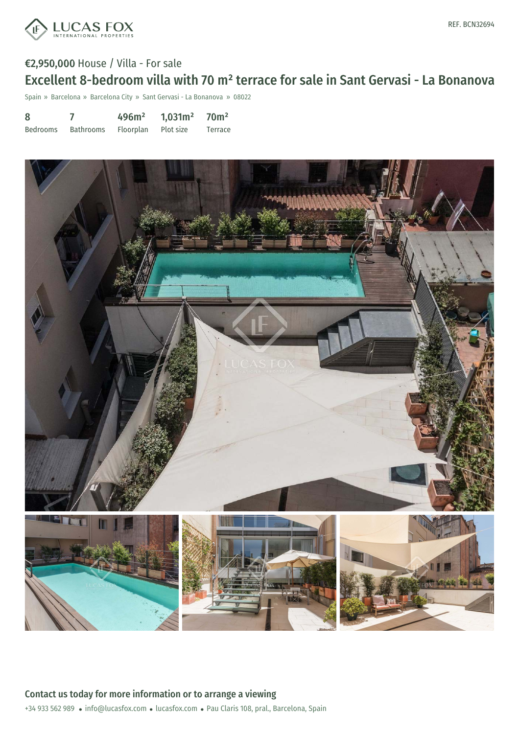

# €2,950,000 House / Villa - For sale Excellent 8-bedroom villa with 70 m² terrace for sale in Sant Gervasi - La Bonanova

Spain » Barcelona » Barcelona City » Sant Gervasi - La Bonanova » 08022

| 8        |           | 496m <sup>2</sup>   | 1,031m <sup>2</sup> | 70 <sup>m²</sup> |
|----------|-----------|---------------------|---------------------|------------------|
| Bedrooms | Bathrooms | Floorplan Plot size |                     | Terrace          |

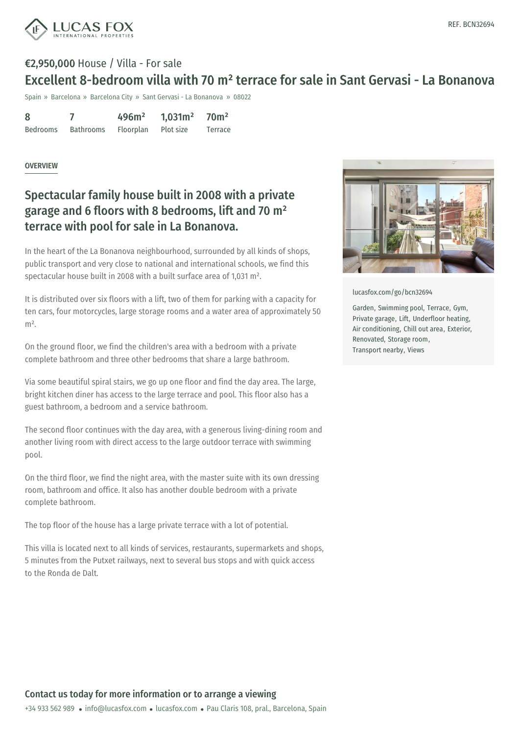

# €2,950,000 House / Villa - For sale Excellent 8-bedroom villa with 70 m² terrace for sale in Sant Gervasi - La Bonanova

Spain » Barcelona » Barcelona City » Sant Gervasi - La Bonanova » 08022

8 Bedrooms 7 Bathrooms 496m² Floorplan 1,031m² Plot size 70m² Terrace

#### OVERVIEW

### Spectacular family house built in 2008 with a private garage and 6 floors with 8 bedrooms, lift and 70 m² terrace with pool for sale in La Bonanova.

In the heart of the La Bonanova neighbourhood, surrounded by all kinds of shops, public transport and very close to national and international schools, we find this spectacular house built in 2008 with a built surface area of 1,031 m².

It is distributed over six floors with a lift, two of them for parking with a capacity for ten cars, four motorcycles, large storage rooms and a water area of approximately 50  $m<sup>2</sup>$ 

On the ground floor, we find the children's area with a bedroom with a private complete bathroom and three other bedrooms that share a large bathroom.

Via some beautiful spiral stairs, we go up one floor and find the day area. The large, bright kitchen diner has access to the large terrace and pool. This floor also has a guest bathroom, a bedroom and a service bathroom.

The second floor continues with the day area, with a generous living-dining room and another living room with direct access to the large outdoor terrace with swimming pool.

On the third floor, we find the night area, with the master suite with its own dressing room, bathroom and office. It also has another double bedroom with a private complete bathroom.

The top floor of the house has a large private terrace with a lot of potential.

This villa is located next to all [kinds](mailto:info@lucasfox.com) of [services,](https://www.lucasfox.com) restaurants, supermarkets and shops, 5 minutes from the Putxet railways, next to several bus stops and with quick access to the Ronda de Dalt.



[lucasfox.com/go/bcn32694](https://www.lucasfox.com/go/bcn32694)

Garden, Swimming pool, Terrace, Gym, Private garage, Lift, Underfloor heating, Air conditioning, Chill out area, Exterior, Renovated, Storage room, Transport nearby, Views